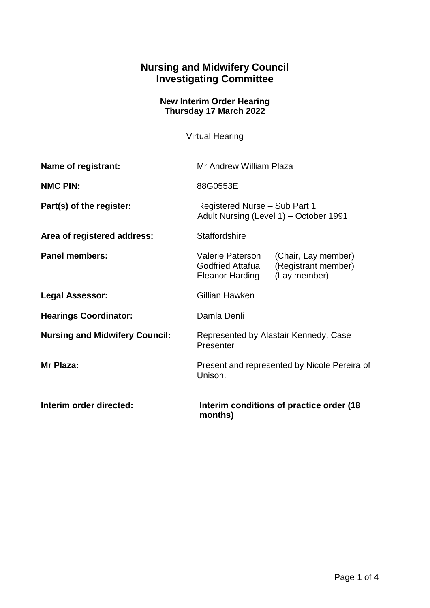## **Nursing and Midwifery Council Investigating Committee**

## **New Interim Order Hearing Thursday 17 March 2022**

Virtual Hearing

| Name of registrant:                   | Mr Andrew William Plaza                                                 |                                                            |
|---------------------------------------|-------------------------------------------------------------------------|------------------------------------------------------------|
| <b>NMC PIN:</b>                       | 88G0553E                                                                |                                                            |
| Part(s) of the register:              | Registered Nurse - Sub Part 1<br>Adult Nursing (Level 1) – October 1991 |                                                            |
| Area of registered address:           | Staffordshire                                                           |                                                            |
| <b>Panel members:</b>                 | Valerie Paterson<br><b>Godfried Attafua</b><br><b>Eleanor Harding</b>   | (Chair, Lay member)<br>(Registrant member)<br>(Lay member) |
| <b>Legal Assessor:</b>                | Gillian Hawken                                                          |                                                            |
| <b>Hearings Coordinator:</b>          | Damla Denli                                                             |                                                            |
| <b>Nursing and Midwifery Council:</b> | Represented by Alastair Kennedy, Case<br>Presenter                      |                                                            |
| Mr Plaza:                             | Present and represented by Nicole Pereira of<br>Unison.                 |                                                            |
| Interim order directed:               | Interim conditions of practice order (18)<br>months)                    |                                                            |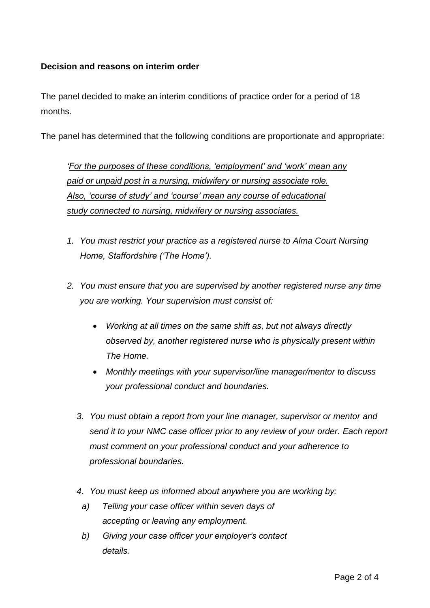## **Decision and reasons on interim order**

The panel decided to make an interim conditions of practice order for a period of 18 months.

The panel has determined that the following conditions are proportionate and appropriate:

*'For the purposes of these conditions, 'employment' and 'work' mean any paid or unpaid post in a nursing, midwifery or nursing associate role. Also, 'course of study' and 'course' mean any course of educational study connected to nursing, midwifery or nursing associates.*

- *1. You must restrict your practice as a registered nurse to Alma Court Nursing Home, Staffordshire ('The Home').*
- *2. You must ensure that you are supervised by another registered nurse any time you are working. Your supervision must consist of:*
	- *Working at all times on the same shift as, but not always directly observed by, another registered nurse who is physically present within The Home.*
	- *Monthly meetings with your supervisor/line manager/mentor to discuss your professional conduct and boundaries.*
	- *3. You must obtain a report from your line manager, supervisor or mentor and send it to your NMC case officer prior to any review of your order. Each report must comment on your professional conduct and your adherence to professional boundaries.*
	- *4. You must keep us informed about anywhere you are working by:*
	- *a) Telling your case officer within seven days of accepting or leaving any employment.*
	- *b) Giving your case officer your employer's contact details.*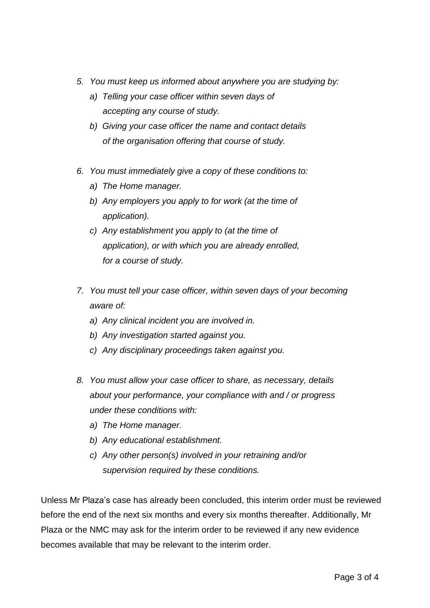- *5. You must keep us informed about anywhere you are studying by:* 
	- *a) Telling your case officer within seven days of accepting any course of study.*
	- *b) Giving your case officer the name and contact details of the organisation offering that course of study.*
- *6. You must immediately give a copy of these conditions to:* 
	- *a) The Home manager.*
	- *b) Any employers you apply to for work (at the time of application).*
	- *c) Any establishment you apply to (at the time of application), or with which you are already enrolled, for a course of study.*
- *7. You must tell your case officer, within seven days of your becoming aware of:*
	- *a) Any clinical incident you are involved in.*
	- *b) Any investigation started against you.*
	- *c) Any disciplinary proceedings taken against you.*
- *8. You must allow your case officer to share, as necessary, details about your performance, your compliance with and / or progress under these conditions with:*
	- *a) The Home manager.*
	- *b) Any educational establishment.*
	- *c) Any other person(s) involved in your retraining and/or supervision required by these conditions.*

Unless Mr Plaza's case has already been concluded, this interim order must be reviewed before the end of the next six months and every six months thereafter. Additionally, Mr Plaza or the NMC may ask for the interim order to be reviewed if any new evidence becomes available that may be relevant to the interim order.